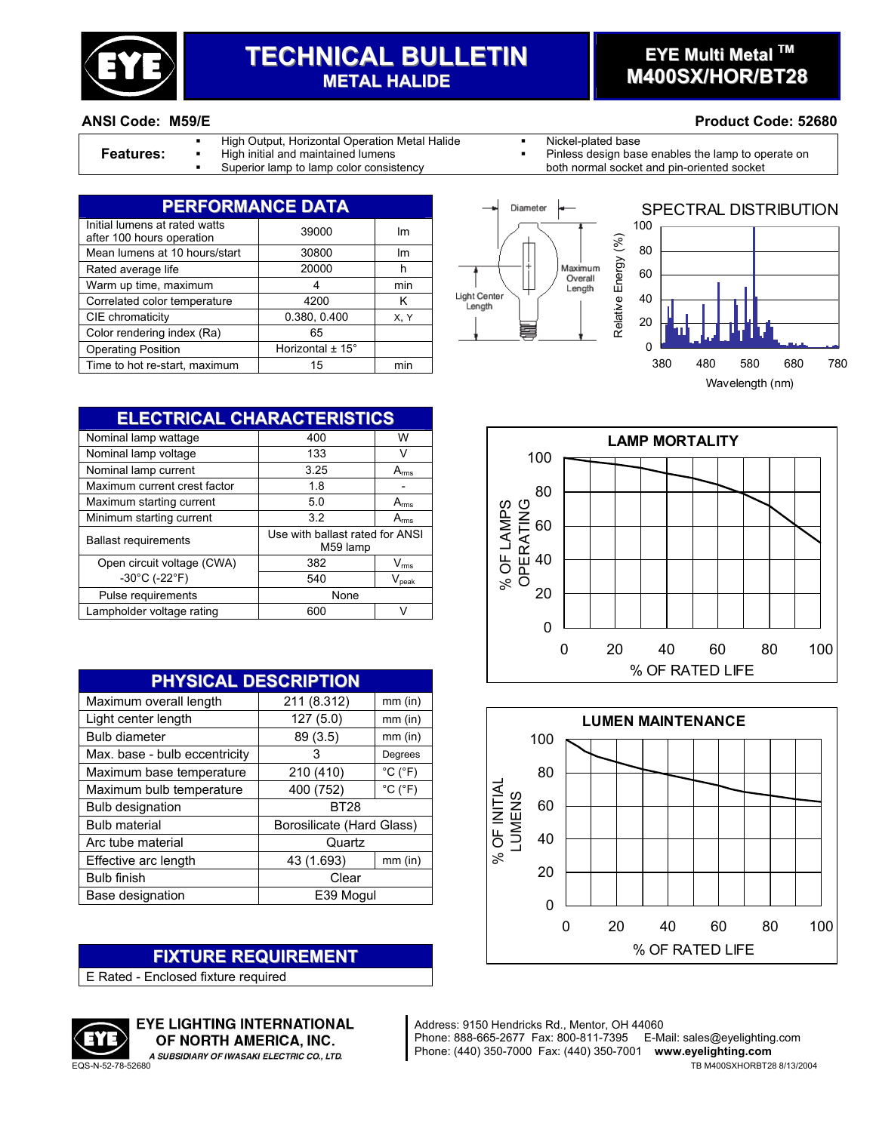

# **TECHNICAL BULLETIN METAL HALIDE**

### **EYE Multi Metal TM M400SX/HOR/BT28**

#### **ANSI Code: M59/E Product Code: 52680**

- High Output, Horizontal Operation Metal Halide **Nickel-plated base**
- 
- 
- 
- **Features:** <sup>I</sup> High initial and maintained lumens **Properation Conducts** Pinless design base enables the lamp to operate on **Pinless** design base enables the lamp to operate on both normal socket and pin-oriented socket Superior lamp to lamp color consistency both normal socket and pin-oriented socket

| <b>PERFORMANCE DATA</b>                                    |                      |      |  |
|------------------------------------------------------------|----------------------|------|--|
| Initial lumens at rated watts<br>after 100 hours operation | 39000                | Im   |  |
| Mean lumens at 10 hours/start                              | 30800                | Im   |  |
| Rated average life                                         | 20000                | h    |  |
| Warm up time, maximum                                      | 4                    | min  |  |
| Correlated color temperature                               | 4200                 | κ    |  |
| CIE chromaticity                                           | 0.380, 0.400         | X, Y |  |
| Color rendering index (Ra)                                 | 65                   |      |  |
| <b>Operating Position</b>                                  | Horizontal $\pm$ 15° |      |  |
| Time to hot re-start, maximum                              | 15                   | min  |  |





**ELECTRICAL CHARACTERISTICS** Nominal lamp wattage  $\overline{400}$  W Nominal lamp voltage 133 V Nominal lamp current 3.25 A<sub>rms</sub> Maximum current crest factor | 1.8 | -Maximum starting current 5.0 Arms Minimum starting current 3.2 A<sub>rms</sub> Ballast requirements Use with ballast rated for ANSI M59 lamp Open circuit voltage (CWA) 382 V<sub>rms</sub>  $-30^{\circ}$ C (-22 $^{\circ}$ F) 540 V<sub>peak</sub> Pulse requirements and a set of the None Lampholder voltage rating 600 V

| PHYSICAL DESCRIPTION          |                           |                              |  |
|-------------------------------|---------------------------|------------------------------|--|
| Maximum overall length        | 211 (8.312)               | $mm$ (in)                    |  |
| Light center length           | 127(5.0)                  | $mm$ (in)                    |  |
| <b>Bulb diameter</b>          | 89 (3.5)                  | $mm$ (in)                    |  |
| Max. base - bulb eccentricity | 3                         | Degrees                      |  |
| Maximum base temperature      | 210 (410)                 | $^{\circ}$ C ( $^{\circ}$ F) |  |
| Maximum bulb temperature      | 400 (752)                 | $^{\circ}$ C ( $^{\circ}$ F) |  |
| <b>Bulb designation</b>       | <b>BT28</b>               |                              |  |
| <b>Bulb material</b>          | Borosilicate (Hard Glass) |                              |  |
| Arc tube material             | Quartz                    |                              |  |
| Effective arc length          | 43 (1.693)                | $mm$ (in)                    |  |
| <b>Bulb finish</b>            | Clear                     |                              |  |
| Base designation              | E39 Mogul                 |                              |  |

#### **FIXTURE REQUIREMENT**

E Rated - Enclosed fixture required



EYE LIGHTING INTERNATIONAL OF NORTH AMERICA, INC.

**LAMP MORTALITY**  $\Omega$ 20 40 60 80 100 0 20 40 60 80 100 % OF RATED LIFE % OF LAMPS OPERATING



Address: 9150 Hendricks Rd., Mentor, OH 44060 Phone: 888-665-2677 Fax: 800-811-7395 E-Mail: sales@eyelighting.com Phone: (440) 350-7000 Fax: (440) 350-7001 **www.eyelighting.com** EQS-N-52-78-52680 TB M400SXHORBT28 8/13/2004